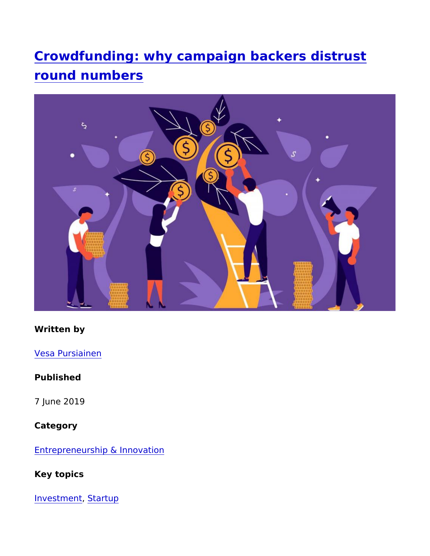Crowdfunding: why campaign backers distru round numbers

Written by

Vesa Pursiainen

Published

7 June 2019

Category

Entrepreneurship & Innovation

Key topics

Investme**Startup**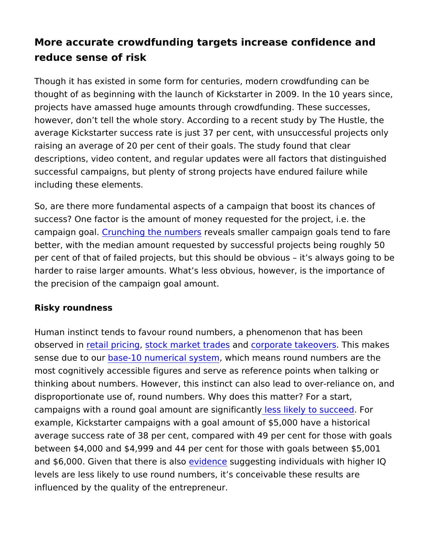More accurate crowdfunding targets increase confidence reduce sense of risk

Though it has existed in some form for centuries, modern crowdfu thought of as beginning with the launch of Kickstarter in 2009. In projects have amassed huge amounts through crowdfunding. Thes however, don t tell the whole story. According to a recent study b average Kickstarter success rate is just 37 per cent, with unsucce raising an average of 20 per cent of their goals. The study found descriptions, video content, and regular updates were all factors successful campaigns, but plenty of strong projects have endured including these elements.

So, are there more fundamental aspects of a campaign that boost success? One factor is the amount of money requested for the pro campaign goalnching the numberals smaller campaign goals tend better, with the median amount requested by successful projects per cent of that of failed projects, but this should be obvious it harder to raise larger amounts. What s less obvious, however, is the precision of the campaign goal amount.

Risky roundness

Human instinct tends to favour round numbers, a phenomenon tha observed rentail prics nogck market trades rporate takeo Tenis makes sense due tob**ase**-10 numerical s**y**shtiech means round numbers are t most cognitively accessible figures and serve as reference points thinking about numbers. However, this instinct can also lead to o disproportionate use of, round numbers. Why does this matter? For campaigns with a round goal amount arlee sesiglinkfeiby antolys ut consered example, Kickstarter campaigns with a goal amount of \$5,000 hav average success rate of 38 per cent, compared with 49 per cent f between  $$4,000$  and  $$4,999$  and  $44$  per cent for those with goals b and  $$6,000$ . Given that the weidishase  $g$  gesting individuals with higher levels are less likely to use round numbers, it s conceivable thes influenced by the quality of the entrepreneur.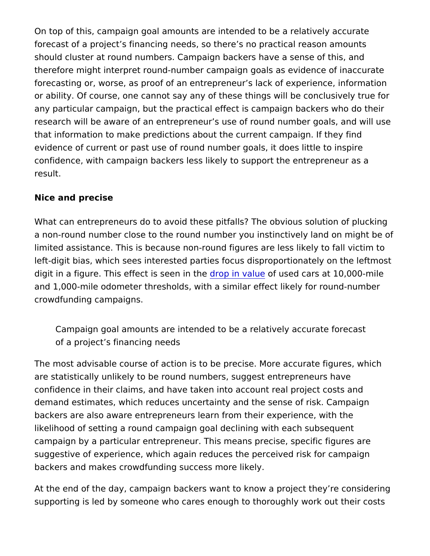On top of this, campaign goal amounts are intended to be a relati forecast of a project s financing needs, so there s no practical re should cluster at round numbers. Campaign backers have a sense therefore might interpret round-number campaign goals as eviden forecasting or, worse, as proof of an entrepreneur s lack of exper or ability. Of course, one cannot say any of these things will be o any particular campaign, but the practical effect is campaign bac research will be aware of an entrepreneur s use of round number that information to make predictions about the current campaign. evidence of current or past use of round number goals, it does lit confidence, with campaign backers less likely to support the entr result.

Nice and precise

What can entrepreneurs do to avoid these pitfalls? The obvious s a non-round number close to the round number you instinctively I limited assistance. This is because non-round figures are less lik left-digit bias, which sees interested parties focus disproportiona digit in a figure. This effect ids respeim in a buheused cars at 10,000-mil and 1,000-mile odometer thresholds, with a similar effect likely fo crowdfunding campaigns.

Campaign goal amounts are intended to be a relatively accurate of a project s financing needs

The most advisable course of action is to be precise. More accuration are statistically unlikely to be round numbers, suggest entreprene confidence in their claims, and have taken into account real proje demand estimates, which reduces uncertainty and the sense of rist. backers are also aware entrepreneurs learn from their experience likelihood of setting a round campaign goal declining with each s campaign by a particular entrepreneur. This means precise, speci suggestive of experience, which again reduces the perceived risk backers and makes crowdfunding success more likely.

At the end of the day, campaign backers want to know a project the supporting is led by someone who cares enough to thoroughly wor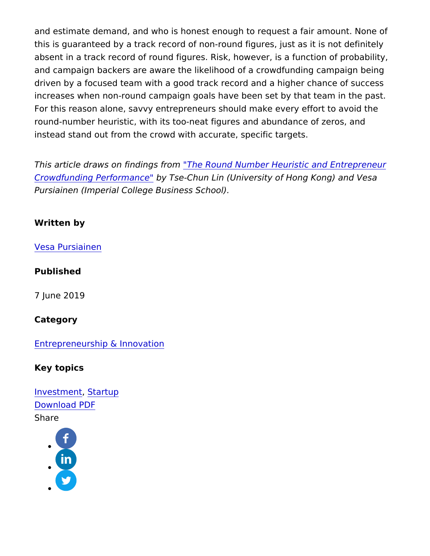and estimate demand, and who is honest enough to request a fair this is guaranteed by a track record of non-round figures, just as absent in a track record of round figures. Risk, however, is a fun and campaign backers are aware the likelihood of a crowdfunding driven by a focused team with a good track record and a higher c increases when non-round campaign goals have been set by that t For this reason alone, savvy entrepreneurs should make every eff round-number heuristic, with its too-neat figures and abundance o instead stand out from the crowd with accurate, specific targets.

This article draws on find Thes Ripoumd Number Heuristic and Entrep [Crowdfunding Perfor](https://papers.ssrn.com/sol3/papers.cfm?abstract_id=3224543)mb an Tcsed-Chun Lin (University of Hong Kong) and Vesa Crowdfunding Performb and Chun Lin (University of Hong Kong) and Vesa Crowdfunding Performb and Vesa Chun Lin (University of Hong Kong) and Vesa Cr Pursiainen (Imperial College Business School).

Written by

[Vesa Pursia](https://www.imperial.ac.uk/business-school/authors/vpursian)inen

Published

7 June 2019

Category

[Entrepreneurship & In](https://www.imperial.ac.uk/business-school/category/knowledge-categories/entrepreneurship-innovation)novation

Key topics

[Investm](https://www.imperial.ac.uk/business-school/category/key-topics/investment)e**St**artup [Download](https://www.imperial.ac.uk/business-school/print/pdf/node/4324) PDF Share